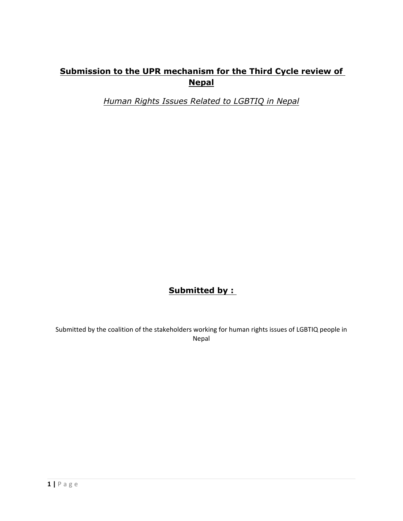# **Submission to the UPR mechanism for the Third Cycle review of Nepal**

*Human Rights Issues Related to LGBTIQ in Nepal*

# **Submitted by :**

Submitted by the coalition of the stakeholders working for human rights issues of LGBTIQ people in Nepal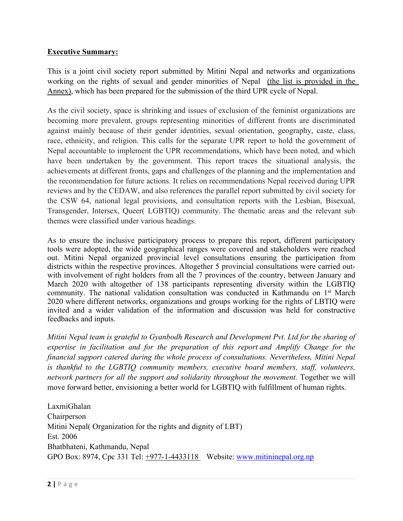### **Executive Summary:**

This is <sup>a</sup> joint civil society repor<sup>t</sup> submitted by Mitini Nepal and networks and organizations working on the rights of sexual and gender minorities of Nepal (the list is provided in the Annex), which has been prepared for the submission of the third UPR cycle of Nepal.

As the civil society, space is shrinking and issues of exclusion of the feminist organizations are becoming more prevalent, groups representing minorities of different fronts are discriminated against mainly because of their gender identities, sexual orientation, geography, caste, class, race, ethnicity, and religion. This calls for the separate UPR repor<sup>t</sup> to hold the governmen<sup>t</sup> of Nepal accountable to implement the UPR recommendations, which have been noted, and which have been undertaken by the government. This repor<sup>t</sup> traces the situational analysis, the achievements at different fronts, gaps and challenges of the planning and the implementation and the recommendation for future actions. It relies on recommendations Nepal received during UPR reviews and by the CEDAW, and also references the parallel repor<sup>t</sup> submitted by civil society for the CSW 64, national legal provisions, and consultation reports with the Lesbian, Bisexual, Transgender, Intersex, Queer( LGBTIQ) community. The thematic areas and the relevant sub themes were classified under various headings.

As to ensure the inclusive participatory process to prepare this report, different participatory tools were adopted, the wide geographical ranges were covered and stakeholders were reached out. Mitini Nepal organized provincial level consultations ensuring the participation from districts within the respective provinces. Altogether 5 provincial consultations were carried outwith involvement of right holders from all the 7 provinces of the country, between January and March 2020 with altogether of 138 participants representing diversity within the LGBTIQ community. The national validation consultation was conducted in Kathmandu on 1<sup>st</sup> March 2020 where different networks, organizations and groups working for the rights of LBTIQ were invited and <sup>a</sup> wider validation of the information and discussion was held for constructive feedbacks and inputs.

*Mitini Nepal team is grateful to Gyanbodh Research and Development Pvt. Ltd for the sharing of expertise in facilitation and for the preparation of this repor<sup>t</sup> and Amplify Change for the financial suppor<sup>t</sup> catered during the whole process of consultations. Nevertheless, Mitini Nepal is thankful to the LGBTIQ community members, executive board members, staff, volunteers, network partners for all the suppor<sup>t</sup> and solidarity throughout the movement.* Together we will move forward better, envisioning <sup>a</sup> better world for LGBTIQ with fulfillment of human rights.

LaxmiGhalan Chairperson Mitini Nepal( Organization for the rights and dignity of LBT) Est. 2006 Bhatbhateni, Kathmandu, Nepal GPO Box: 8974, Cpc 331 Tel: +977-1-4433118 Website: [www.mitininepal.org.np](http://www.mitini.nepal.org.np)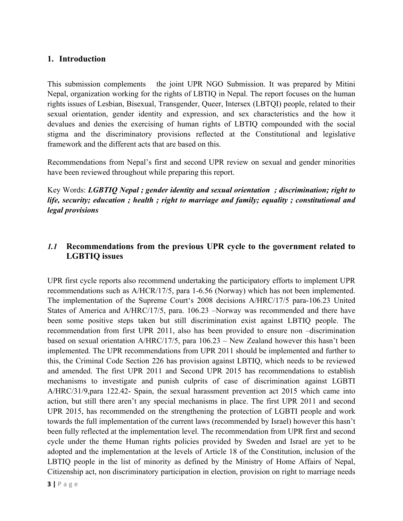## **1. Introduction**

This submission complements the joint UPR NGO Submission. It was prepared by Mitini Nepal, organization working for the rights of LBTIQ in Nepal. The repor<sup>t</sup> focuses on the human rights issues of Lesbian, Bisexual, Transgender, Queer, Intersex (LBTQI) people, related to their sexual orientation, gender identity and expression, and sex characteristics and the how it devalues and denies the exercising of human rights of LBTIQ compounded with the social stigma and the discriminatory provisions reflected at the Constitutional and legislative framework and the different acts that are based on this.

Recommendations from Nepal'<sup>s</sup> first and second UPR review on sexual and gender minorities have been reviewed throughout while preparing this report.

Key Words: *LGBTIQ Nepal ; gender identity and sexual orientation ; discrimination; right to life, security; education ; health ; right to marriage and family; equality ; constitutional and legal provisions*

## *1.1* **Recommendations from the previous UPR cycle to the government related to LGBTIQ issues**

UPR first cycle reports also recommend undertaking the participatory efforts to implement UPR recommendations such as A/HCR/17/5, para 1-6.56 (Norway) which has not been implemented. The implementation of the Supreme Court'<sup>s</sup> 2008 decisions A/HRC/17/5 para-106.23 United States of America and A/HRC/17/5, para. 106.23 –Norway was recommended and there have been some positive steps taken but still discrimination exist against LBTIQ people. The recommendation from first UPR 2011, also has been provided to ensure non –discrimination based on sexual orientation A/HRC/17/5, para 106.23 – New Zealand however this hasn'<sup>t</sup> been implemented. The UPR recommendations from UPR 2011 should be implemented and further to this, the Criminal Code Section 226 has provision against LBTIQ, which needs to be reviewed and amended. The first UPR 2011 and Second UPR 2015 has recommendations to establish mechanisms to investigate and punish culprits of case of discrimination against LGBTI A/HRC/31/9,para 122.42- Spain, the sexual harassment prevention act 2015 which came into action, but still there aren'<sup>t</sup> any special mechanisms in place. The first UPR 2011 and second UPR 2015, has recommended on the strengthening the protection of LGBTI people and work towards the full implementation of the current laws (recommended by Israel) however this hasn'<sup>t</sup> been fully reflected at the implementation level. The recommendation from UPR first and second cycle under the theme Human rights policies provided by Sweden and Israel are ye<sup>t</sup> to be adopted and the implementation at the levels of Article 18 of the Constitution, inclusion of the LBTIQ people in the list of minority as defined by the Ministry of Home Affairs of Nepal, Citizenship act, non discriminatory participation in election, provision on right to marriage needs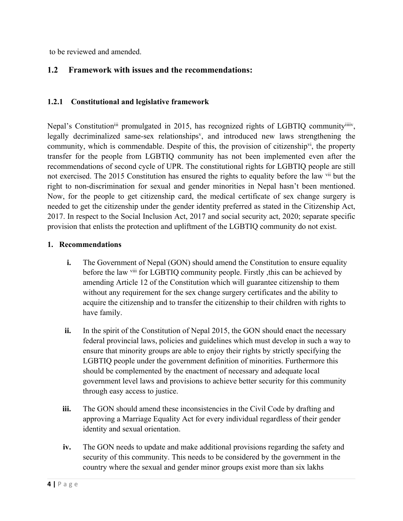to be reviewed and amended.

## **1.2 Framework with issues and the recommendations:**

## **1.2.1 Constitutional and legislative framework**

Nepal's Constitution<sup>iii</sup> promulgated in 2015, has recognized rights of LGBTIQ community<sup>iiiiv</sup>, legally decriminalized same-sex relationships<sup>v</sup>, and introduced new laws strengthening the community, which is commendable. Despite of this, the provision of citizenship<sup>vi</sup>, the property transfer for the people from LGBTIQ community has not been implemented even after the recommendations of second cycle of UPR. The constitutional rights for LGBTIQ people are still not exercised. The 2015 Constitution has ensured the rights to equality before the law <sup>vii</sup> but the right to non-discrimination for sexual and gender minorities in Nepal hasn'<sup>t</sup> been mentioned. Now, for the people to ge<sup>t</sup> citizenship card, the medical certificate of sex change surgery is needed to ge<sup>t</sup> the citizenship under the gender identity preferred as stated in the Citizenship Act, 2017. In respec<sup>t</sup> to the Social Inclusion Act, 2017 and social security act, 2020; separate specific provision that enlists the protection and upliftment of the LGBTIQ community do not exist.

#### **1. Recommendations**

- **i.** The Government of Nepal (GON) should amend the Constitution to ensure equality before the law vill for LGBTIQ community people. Firstly, this can be achieved by amending Article 12 of the Constitution which will guarantee citizenship to them without any requirement for the sex change surgery certificates and the ability to acquire the citizenship and to transfer the citizenship to their children with rights to have family.
- **ii.** In the spirit of the Constitution of Nepal 2015, the GON should enact the necessary federal provincial laws, policies and guidelines which must develop in such <sup>a</sup> way to ensure that minority groups are able to enjoy their rights by strictly specifying the LGBTIQ people under the governmen<sup>t</sup> definition of minorities. Furthermore this should be complemented by the enactment of necessary and adequate local governmen<sup>t</sup> level laws and provisions to achieve better security for this community through easy access to justice.
- **iii.** The GON should amend these inconsistencies in the Civil Code by drafting and approving <sup>a</sup> Marriage Equality Act for every individual regardless of their gender identity and sexual orientation.
- **iv.** The GON needs to update and make additional provisions regarding the safety and security of this community. This needs to be considered by the governmen<sup>t</sup> in the country where the sexual and gender minor groups exist more than six lakhs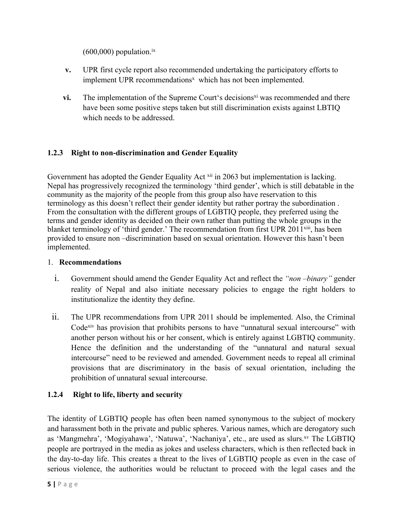$(600,000)$  population.<sup>ix</sup>

- **v.** UPR first cycle repor<sup>t</sup> also recommended undertaking the participatory efforts to implement UPR recommendations <sup>x</sup> which has not been implemented.
- **vi.** The implementation of the Supreme Court's decisions<sup>xi</sup> was recommended and there have been some positive steps taken but still discrimination exists against LBTIQ which needs to be addressed.

## **1.2.3 Right to non-discrimination and Gender Equality**

Government has adopted the Gender Equality Act <sup>xii</sup> in 2063 but implementation is lacking. Nepal has progressively recognized the terminology 'third gender', which is still debatable in the community as the majority of the people from this group also have reservation to this terminology as this doesn'<sup>t</sup> reflect their gender identity but rather portray the subordination . From the consultation with the different groups of LGBTIQ people, they preferred using the terms and gender identity as decided on their own rather than putting the whole groups in the blanket terminology of 'third gender.' The recommendation from first UPR 2011<sup>xiii</sup>, has been provided to ensure non –discrimination based on sexual orientation. However this hasn'<sup>t</sup> been implemented.

### 1. **Recommendations**

- i. Government should amend the Gender Equality Act and reflect the *"non –binary"* gender reality of Nepal and also initiate necessary policies to engage the right holders to institutionalize the identity they define.
- ii. The UPR recommendations from UPR <sup>2011</sup> should be implemented. Also, the Criminal Code<sup>xiv</sup> has provision that prohibits persons to have "unnatural sexual intercourse" with another person without his or her consent, which is entirely against LGBTIQ community. Hence the definition and the understanding of the "unnatural and natural sexual intercourse" need to be reviewed and amended. Government needs to repeal all criminal provisions that are discriminatory in the basis of sexual orientation, including the prohibition of unnatural sexual intercourse.

## **1.2.4 Right to life, liberty and security**

The identity of LGBTIQ people has often been named synonymous to the subject of mockery and harassment both in the private and public spheres. Various names, which are derogatory such as 'Mangmehra', 'Mogiyahawa', 'Natuwa', 'Nachaniya', etc., are used as slurs.<sup>xv</sup> The LGBTIQ people are portrayed in the media as jokes and useless characters, which is then reflected back in the day-to-day life. This creates <sup>a</sup> threat to the lives of LGBTIQ people as even in the case of serious violence, the authorities would be reluctant to proceed with the legal cases and the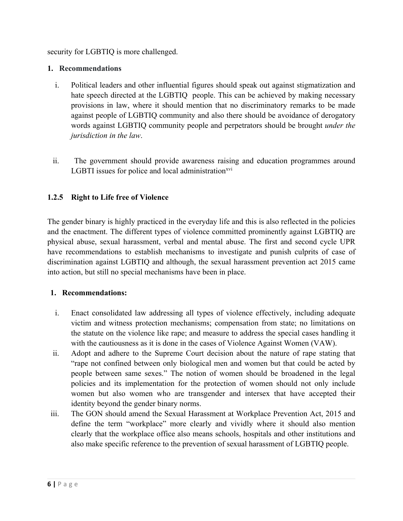security for LGBTIQ is more challenged.

#### **1. Recommendations**

- i. Political leaders and other influential figures should speak out against stigmatization and hate speech directed at the LGBTIQ people. This can be achieved by making necessary provisions in law, where it should mention that no discriminatory remarks to be made against people of LGBTIQ community and also there should be avoidance of derogatory words against LGBTIQ community people and perpetrators should be brought *under the jurisdiction in the law*.
- ii. The governmen<sup>t</sup> should provide awareness raising and education programmes around LGBTI issues for police and local administration<sup>xvi</sup>

### **1.2.5 Right to Life free of Violence**

The gender binary is highly practiced in the everyday life and this is also reflected in the policies and the enactment. The different types of violence committed prominently against LGBTIQ are physical abuse, sexual harassment, verbal and mental abuse. The first and second cycle UPR have recommendations to establish mechanisms to investigate and punish culprits of case of discrimination against LGBTIQ and although, the sexual harassment prevention act 2015 came into action, but still no special mechanisms have been in place.

### **1. Recommendations:**

- i. Enact consolidated law addressing all types of violence effectively, including adequate victim and witness protection mechanisms; compensation from state; no limitations on the statute on the violence like rape; and measure to address the special cases handling it with the cautiousness as it is done in the cases of Violence Against Women (VAW).
- ii. Adopt and adhere to the Supreme Court decision about the nature of rape stating that "rape not confined between only biological men and women but that could be acted by people between same sexes." The notion of women should be broadened in the legal policies and its implementation for the protection of women should not only include women but also women who are transgender and intersex that have accepted their identity beyond the gender binary norms.
- iii. The GON should amend the Sexual Harassment at Workplace Prevention Act, 2015 and define the term "workplace" more clearly and vividly where it should also mention clearly that the workplace office also means schools, hospitals and other institutions and also make specific reference to the prevention of sexual harassment of LGBTIQ people.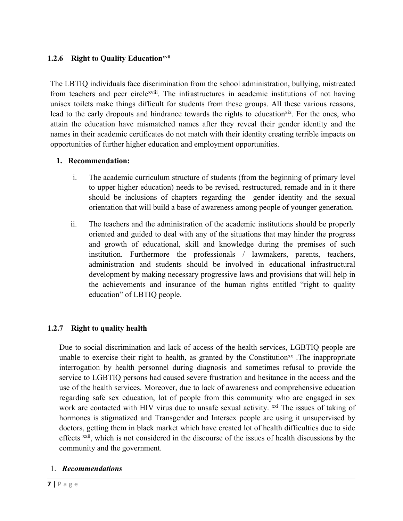## **1.2.6 Right to Quality Educationxvii**

The LBTIQ individuals face discrimination from the school administration, bullying, mistreated from teachers and peer circle<sup>xviii</sup>. The infrastructures in academic institutions of not having unisex toilets make things difficult for students from these groups. All these various reasons, lead to the early dropouts and hindrance towards the rights to education<sup>xix</sup>. For the ones, who attain the education have mismatched names after they reveal their gender identity and the names in their academic certificates do not match with their identity creating terrible impacts on opportunities of further higher education and employment opportunities.

## **1. Recommendation:**

- i. The academic curriculum structure of students (from the beginning of primary level to upper higher education) needs to be revised, restructured, remade and in it there should be inclusions of chapters regarding the gender identity and the sexual orientation that will build <sup>a</sup> base of awareness among people of younger generation.
- ii. The teachers and the administration of the academic institutions should be properly oriented and guided to deal with any of the situations that may hinder the progress and growth of educational, skill and knowledge during the premises of such institution. Furthermore the professionals / lawmakers, parents, teachers, administration and students should be involved in educational infrastructural development by making necessary progressive laws and provisions that will help in the achievements and insurance of the human rights entitled "right to quality education" of LBTIQ people.

## **1.2.7 Right to quality health**

Due to social discrimination and lack of access of the health services, LGBTIQ people are unable to exercise their right to health, as granted by the Constitution<sup>xx</sup>. The inappropriate interrogation by health personnel during diagnosis and sometimes refusal to provide the service to LGBTIQ persons had caused severe frustration and hesitance in the access and the use of the health services. Moreover, due to lack of awareness and comprehensive education regarding safe sex education, lot of people from this community who are engaged in sex work are contacted with HIV virus due to unsafe sexual activity. <sup>xxi</sup> The issues of taking of hormones is stigmatized and Transgender and Intersex people are using it unsupervised by doctors, getting them in black market which have created lot of health difficulties due to side effects <sup>xxii</sup>, which is not considered in the discourse of the issues of health discussions by the community and the government.

### 1. *Recommendations*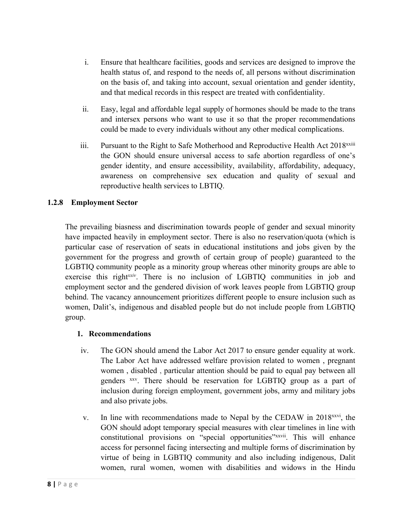- i. Ensure that healthcare facilities, goods and services are designed to improve the health status of, and respond to the needs of, all persons without discrimination on the basis of, and taking into account, sexual orientation and gender identity, and that medical records in this respec<sup>t</sup> are treated with confidentiality.
- ii. Easy, legal and affordable legal supply of hormones should be made to the trans and intersex persons who want to use it so that the proper recommendations could be made to every individuals without any other medical complications.
- iii. Pursuant to the Right to Safe Motherhood and Reproductive Health Act 2018<sup>xxiii</sup> the GON should ensure universal access to safe abortion regardless of one'<sup>s</sup> gender identity, and ensure accessibility, availability, affordability, adequacy, awareness on comprehensive sex education and quality of sexual and reproductive health services to LBTIQ.

## **1.2.8 Employment Sector**

The prevailing biasness and discrimination towards people of gender and sexual minority have impacted heavily in employment sector. There is also no reservation/quota (which is particular case of reservation of seats in educational institutions and jobs given by the governmen<sup>t</sup> for the progress and growth of certain group of people) guaranteed to the LGBTIQ community people as <sup>a</sup> minority group whereas other minority groups are able to exercise this right<sup>xxiv</sup>. There is no inclusion of LGBTIQ communities in job and employment sector and the gendered division of work leaves people from LGBTIQ group behind. The vacancy announcement prioritizes different people to ensure inclusion such as women, Dalit's, indigenous and disabled people but do not include people from LGBTIQ group.

### **1. Recommendations**

- iv. The GON should amend the Labor Act 2017 to ensure gender equality at work. The Labor Act have addressed welfare provision related to women , pregnan<sup>t</sup> women , disabled , particular attention should be paid to equal pay between all genders <sup>xxv</sup>. There should be reservation for LGBTIQ group as a part of inclusion during foreign employment, governmen<sup>t</sup> jobs, army and military jobs and also private jobs.
- v. In line with recommendations made to Nepal by the CEDAW in 2018<sup>xxvi</sup>, the GON should adopt temporary special measures with clear timelines in line with constitutional provisions on "special opportunities" xxvii. This will enhance access for personnel facing intersecting and multiple forms of discrimination by virtue of being in LGBTIQ community and also including indigenous, Dalit women, rural women, women with disabilities and widows in the Hindu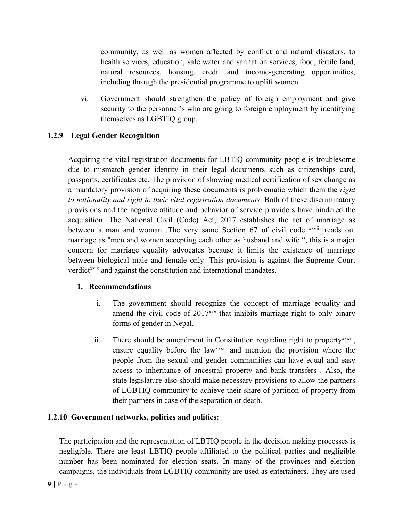community, as well as women affected by conflict and natural disasters, to health services, education, safe water and sanitation services, food, fertile land, natural resources, housing, credit and income-generating opportunities, including through the presidential programme to uplift women.

vi. Government should strengthen the policy of foreign employment and give security to the personnel'<sup>s</sup> who are going to foreign employment by identifying themselves as LGBTIQ group.

## **1.2.9 Legal Gender Recognition**

Acquiring the vital registration documents for LBTIQ community people is troublesome due to mismatch gender identity in their legal documents such as citizenships card, passports, certificates etc. The provision of showing medical certification of sex change as <sup>a</sup> mandatory provision of acquiring these documents is problematic which them the *right to nationality and right to their vital registration documents*. Both of these discriminatory provisions and the negative attitude and behavior of service providers have hindered the acquisition. The National Civil (Code) Act, 2017 establishes the act of marriage as between a man and woman .The very same Section 67 of civil code xxviii reads out marriage as "men and women accepting each other as husband and wife ", this is <sup>a</sup> major concern for marriage equality advocates because it limits the existence of marriage between biological male and female only. This provision is against the Supreme Court verdict<sup>xxix</sup> and against the constitution and international mandates.

### **1. Recommendations**

- i. The governmen<sup>t</sup> should recognize the concep<sup>t</sup> of marriage equality and amend the civil code of 2017<sup>xxx</sup> that inhibits marriage right to only binary forms of gender in Nepal.
- ii. There should be amendment in Constitution regarding right to property<sup>xxxi</sup>, ensure equality before the law<sup>xxxii</sup> and mention the provision where the people from the sexual and gender communities can have equal and easy access to inheritance of ancestral property and bank transfers . Also, the state legislature also should make necessary provisions to allow the partners of LGBTIQ community to achieve their share of partition of property from their partners in case of the separation or death.

### **1.2.10 Government networks, policies and politics:**

The participation and the representation of LBTIQ people in the decision making processes is negligible. There are least LBTIQ people affiliated to the political parties and negligible number has been nominated for election seats. In many of the provinces and election campaigns, the individuals from LGBTIQ community are used as entertainers. They are used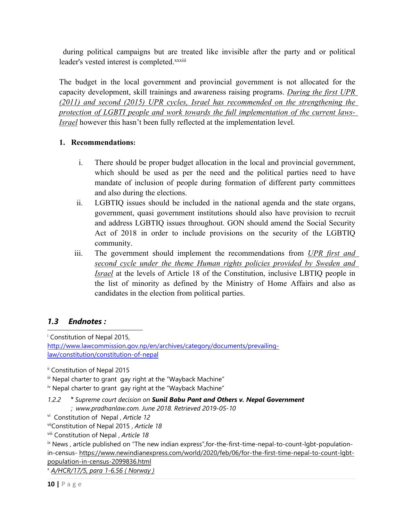during political campaigns but are treated like invisible after the party and or political leader's vested interest is completed.xxxiii

The budget in the local governmen<sup>t</sup> and provincial governmen<sup>t</sup> is not allocated for the capacity development, skill trainings and awareness raising programs. *During the first UPR (2011) and second (2015) UPR cycles, Israel has recommended on the strengthening the protection of LGBTI people and work towards the full implementation of the current laws-Israel* however this hasn'<sup>t</sup> been fully reflected at the implementation level.

## **1. Recommendations:**

- i. There should be proper budget allocation in the local and provincial government, which should be used as per the need and the political parties need to have mandate of inclusion of people during formation of different party committees and also during the elections.
- ii. LGBTIQ issues should be included in the national agenda and the state organs, government, quasi governmen<sup>t</sup> institutions should also have provision to recruit and address LGBTIQ issues throughout. GON should amend the Social Security Act of 2018 in order to include provisions on the security of the LGBTIQ community.
- iii. The governmen<sup>t</sup> should implement the recommendations from *UPR first and second cycle under the theme Human rights policies provided by Sweden and Israel* at the levels of Article 18 of the Constitution, inclusive LBTIQ people in the list of minority as defined by the Ministry of Home Affairs and also as candidates in the election from political parties.

## *1.3 Endnotes :*

<sup>i</sup> Constitution of Nepal 2015,

vi Constitution of Nepal , *Article 12*

vii Constitution of Nepal 2015 , *Article 18*

x *A/HCR/17/5, para 1-6.56 ( Norway )*

[http://www.lawcommission.gov.np/en/archives/category/documents/prevailing](http://www.lawcommission.gov.np/en/archives/category/documents/prevailing-law/constitution/constitution-of-nepal)[law/constitution/constitution-of-nepal](http://www.lawcommission.gov.np/en/archives/category/documents/prevailing-law/constitution/constitution-of-nepal)

ii Constitution of Nepal 2015

iii Nepal charter to gran<sup>t</sup> gay right at the "Wayback Machine"

<sup>&</sup>lt;sup>iv</sup> Nepal charter to grant gay right at the "Wayback Machine"

*<sup>1.2.2</sup>* **<sup>v</sup>** *Supreme court decision on Sunil Babu Pant and Others v. Nepal Government ;. www.pradhanlaw.com. June 2018. Retrieved 2019-05-10*

viii Constitution of Nepal , *Article 18*

<sup>&</sup>lt;sup>ix</sup> News, article published on "The new indian express", for-the-first-time-nepal-to-count-lgbt-populationin-census- https://www.newindianexpress.com/world/2020/feb/06/for-the-first-time-nepal-to-count-lgbtpopulation-in-census-2099836.html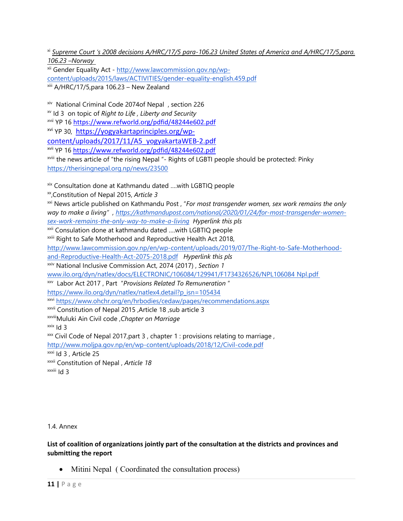xi *Supreme Court '<sup>s</sup> 2008 decisions A/HRC/17/5 para-106.23 United States of America and A/HRC/17/5,para. 106.23 –Norway*

<sup>xii</sup> Gender Equality Act - <u>http://www.lawcommission.gov.np/wp-</u> [content/uploads/2015/laws/ACTIVITIES/gender-equality-english.459.pdf](http://www.lawcommission.gov.np/wp-content/uploads/2015/laws/ACTIVITIES/gender-equality-english.459.pdf) xiii A/HRC/17/5,para 106.23 – New Zealand

xiv National Criminal Code 2074of Nepal , section 226 xv Id 3 on topic of *Right to Life , Liberty and Security xvii* YP 16 <https://www.refworld.org/pdfid/48244e602.pdf> <sup>xvi</sup> YP 30, [https://yogyakartaprinciples.org/wp](https://yogyakartaprinciples.org/wp-content/uploads/2017/11/A5_yogyakartaWEB-2.pdf)[content/uploads/2017/11/A5\\_yogyakartaWEB-2.pdf](https://yogyakartaprinciples.org/wp-content/uploads/2017/11/A5_yogyakartaWEB-2.pdf) <sup>xvii</sup> YP 16 <u><https://www.refworld.org/pdfid/48244e602.pdf></u> <sup>xviii</sup> the news article of "the rising Nepal "- Rights of LGBTI people should be protected: Pinky

<https://therisingnepal.org.np/news/23500>

xix Consultation done at Kathmandu dated ….with LGBTIQ people

xx ,Constitution of Nepal 2015, *Article 3*

xxi News article published on Kathmandu Post , "*For most transgender women, sex work remains the only way to make <sup>a</sup> living" , [https://kathmandupost.com/national/2020/01/24/for-most-transgender-women](https://kathmandupost.com/national/2020/01/24/for-most-transgender-women-sex-work-remains-the-only-way-to-make-a-living)[sex-work-remains-the-only-way-to-make-a-living](https://kathmandupost.com/national/2020/01/24/for-most-transgender-women-sex-work-remains-the-only-way-to-make-a-living) Hyperlink this pls*

<sup>xxii</sup> Consulation done at kathmandu dated ....with LGBTIQ people <sup>xxiii</sup> Right to Safe Motherhood and Reproductive Health Act 2018,

[http://www.lawcommission.gov.np/en/wp-content/uploads/2019/07/The-Right-to-Safe-Motherhood-](http://www.lawcommission.gov.np/en/wp-content/uploads/2019/07/The-Right-to-Safe-Motherhood-and-Reproductive-Health-Act-2075-2018.pdf)

[and-Reproductive-Health-Act-2075-2018.pdf](http://www.lawcommission.gov.np/en/wp-content/uploads/2019/07/The-Right-to-Safe-Motherhood-and-Reproductive-Health-Act-2075-2018.pdf) *Hyperlink this pls*

xxiv National Inclusive Commission Act, 2074 (2017) , *Section 1*

[www.ilo.org/dyn/natlex/docs/ELECTRONIC/106084/129941/F1734326526/NPL106084](http://www.ilo.org/dyn/natlex/docs/ELECTRONIC/106084/129941/F1734326526/NPL106084) Npl.pdf

xxv Labor Act 2017 , Part "*Provisions Related To Remuneration* "

[https://www.ilo.org/dyn/natlex/natlex4.detail?p\\_isn=105434](https://www.ilo.org/dyn/natlex/natlex4.detail?p_isn=105434)

<sup>xxvi</sup> <https://www.ohchr.org/en/hrbodies/cedaw/pages/recommendations.aspx>

xxvii Constitution of Nepal 2015 ,Article 18 ,sub article 3

xxviiiMuluki Ain Civil code ,*Chapter on Marriage*

<sup>xxix</sup> Id 3

 $\stackrel{\text{x} \text{x}}{\text{x}}$  Civil Code of Nepal 2017,part 3 , chapter 1 : provisions relating to marriage ,

<http://www.moljpa.gov.np/en/wp-content/uploads/2018/12/Civil-code.pdf>

<sup>xxxi</sup> Id 3 , Article 25

xxxii Constitution of Nepal , *Article 18*

<sup>xxxiii</sup> Id 3

1.4. Annex

**List of coalition of organizations jointly part of the consultation at the districts and provinces and submitting the report**

• Mitini Nepal ( Coordinated the consultation process)